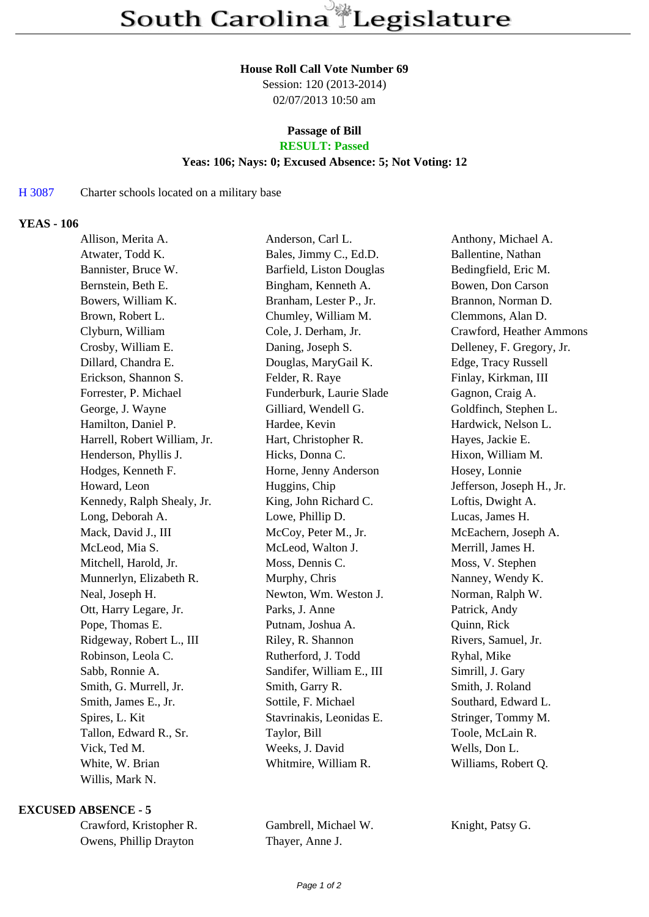#### **House Roll Call Vote Number 69**

Session: 120 (2013-2014) 02/07/2013 10:50 am

# **Passage of Bill**

**RESULT: Passed**

## **Yeas: 106; Nays: 0; Excused Absence: 5; Not Voting: 12**

### H 3087 Charter schools located on a military base

#### **YEAS - 106**

| Allison, Merita A.           | Anderson, Carl L.         | Anthony, Michael A.       |
|------------------------------|---------------------------|---------------------------|
| Atwater, Todd K.             | Bales, Jimmy C., Ed.D.    | Ballentine, Nathan        |
| Bannister, Bruce W.          | Barfield, Liston Douglas  | Bedingfield, Eric M.      |
| Bernstein, Beth E.           | Bingham, Kenneth A.       | Bowen, Don Carson         |
| Bowers, William K.           | Branham, Lester P., Jr.   | Brannon, Norman D.        |
| Brown, Robert L.             | Chumley, William M.       | Clemmons, Alan D.         |
| Clyburn, William             | Cole, J. Derham, Jr.      | Crawford, Heather Ammons  |
| Crosby, William E.           | Daning, Joseph S.         | Delleney, F. Gregory, Jr. |
| Dillard, Chandra E.          | Douglas, MaryGail K.      | Edge, Tracy Russell       |
| Erickson, Shannon S.         | Felder, R. Raye           | Finlay, Kirkman, III      |
| Forrester, P. Michael        | Funderburk, Laurie Slade  | Gagnon, Craig A.          |
| George, J. Wayne             | Gilliard, Wendell G.      | Goldfinch, Stephen L.     |
| Hamilton, Daniel P.          | Hardee, Kevin             | Hardwick, Nelson L.       |
| Harrell, Robert William, Jr. | Hart, Christopher R.      | Hayes, Jackie E.          |
| Henderson, Phyllis J.        | Hicks, Donna C.           | Hixon, William M.         |
| Hodges, Kenneth F.           | Horne, Jenny Anderson     | Hosey, Lonnie             |
| Howard, Leon                 | Huggins, Chip             | Jefferson, Joseph H., Jr. |
| Kennedy, Ralph Shealy, Jr.   | King, John Richard C.     | Loftis, Dwight A.         |
| Long, Deborah A.             | Lowe, Phillip D.          | Lucas, James H.           |
| Mack, David J., III          | McCoy, Peter M., Jr.      | McEachern, Joseph A.      |
| McLeod, Mia S.               | McLeod, Walton J.         | Merrill, James H.         |
| Mitchell, Harold, Jr.        | Moss, Dennis C.           | Moss, V. Stephen          |
| Munnerlyn, Elizabeth R.      | Murphy, Chris             | Nanney, Wendy K.          |
| Neal, Joseph H.              | Newton, Wm. Weston J.     | Norman, Ralph W.          |
| Ott, Harry Legare, Jr.       | Parks, J. Anne            | Patrick, Andy             |
| Pope, Thomas E.              | Putnam, Joshua A.         | Quinn, Rick               |
| Ridgeway, Robert L., III     | Riley, R. Shannon         | Rivers, Samuel, Jr.       |
| Robinson, Leola C.           | Rutherford, J. Todd       | Ryhal, Mike               |
| Sabb, Ronnie A.              | Sandifer, William E., III | Simrill, J. Gary          |
| Smith, G. Murrell, Jr.       | Smith, Garry R.           | Smith, J. Roland          |
| Smith, James E., Jr.         | Sottile, F. Michael       | Southard, Edward L.       |
| Spires, L. Kit               | Stavrinakis, Leonidas E.  | Stringer, Tommy M.        |
| Tallon, Edward R., Sr.       | Taylor, Bill              | Toole, McLain R.          |
| Vick, Ted M.                 | Weeks, J. David           | Wells, Don L.             |
| White, W. Brian              | Whitmire, William R.      | Williams, Robert Q.       |
| Willis, Mark N.              |                           |                           |

#### **EXCUSED ABSENCE - 5**

| Crawford, Kristopher R. |
|-------------------------|
| Owens, Phillip Drayton  |

Gambrell, Michael W. Knight, Patsy G. Thayer, Anne J.